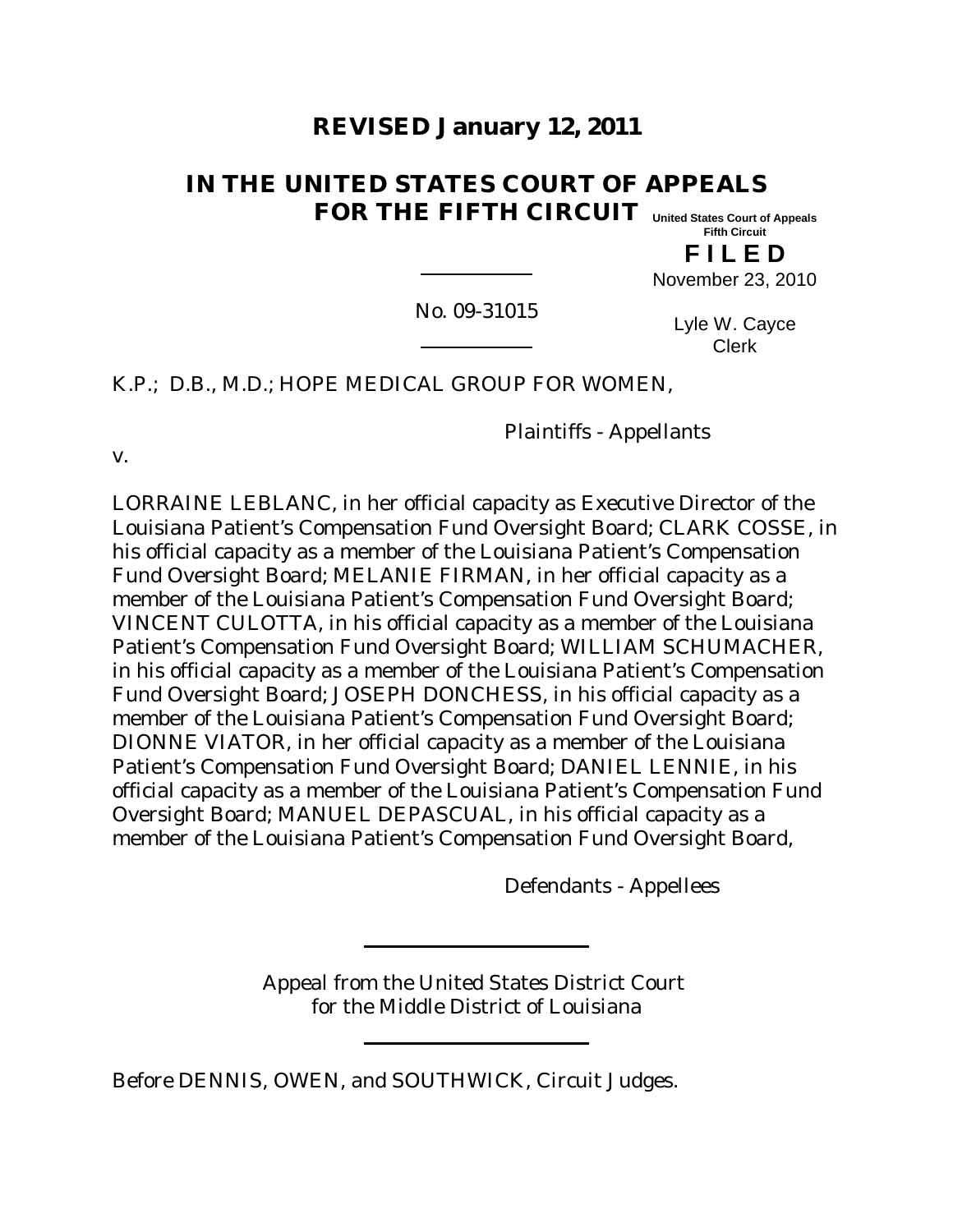# **REVISED January 12, 2011**

#### **IN THE UNITED STATES COURT OF APPEALS FOR THE FIFTH CIRCUIT United States Court of Appeals**

**Fifth Circuit**

**F I L E D**

November 23, 2010

No. 09-31015

Lyle W. Cayce Clerk

K.P.; D.B., M.D.; HOPE MEDICAL GROUP FOR WOMEN,

Plaintiffs - Appellants

v.

LORRAINE LEBLANC, in her official capacity as Executive Director of the Louisiana Patient's Compensation Fund Oversight Board; CLARK COSSE, in his official capacity as a member of the Louisiana Patient's Compensation Fund Oversight Board; MELANIE FIRMAN, in her official capacity as a member of the Louisiana Patient's Compensation Fund Oversight Board; VINCENT CULOTTA, in his official capacity as a member of the Louisiana Patient's Compensation Fund Oversight Board; WILLIAM SCHUMACHER, in his official capacity as a member of the Louisiana Patient's Compensation Fund Oversight Board; JOSEPH DONCHESS, in his official capacity as a member of the Louisiana Patient's Compensation Fund Oversight Board; DIONNE VIATOR, in her official capacity as a member of the Louisiana Patient's Compensation Fund Oversight Board; DANIEL LENNIE, in his official capacity as a member of the Louisiana Patient's Compensation Fund Oversight Board; MANUEL DEPASCUAL, in his official capacity as a member of the Louisiana Patient's Compensation Fund Oversight Board,

Defendants - Appellees

Appeal from the United States District Court for the Middle District of Louisiana

Before DENNIS, OWEN, and SOUTHWICK, Circuit Judges.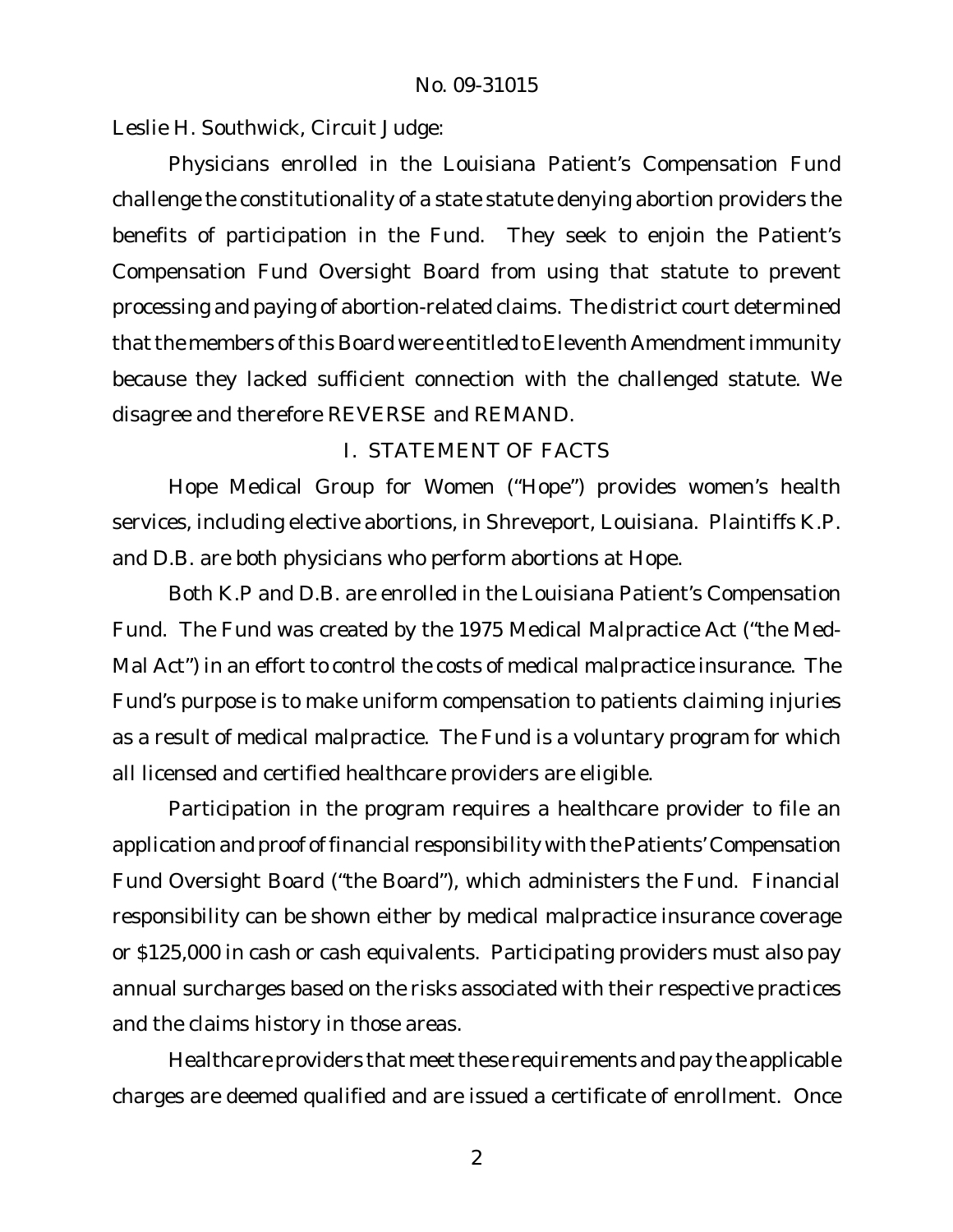Leslie H. Southwick, Circuit Judge:

Physicians enrolled in the Louisiana Patient's Compensation Fund challenge the constitutionality of a state statute denying abortion providers the benefits of participation in the Fund. They seek to enjoin the Patient's Compensation Fund Oversight Board from using that statute to prevent processing and paying of abortion-related claims. The district court determined that the members of this Board were entitled to Eleventh Amendment immunity because they lacked sufficient connection with the challenged statute. We disagree and therefore REVERSE and REMAND.

# I. STATEMENT OF FACTS

Hope Medical Group for Women ("Hope") provides women's health services, including elective abortions, in Shreveport, Louisiana. Plaintiffs K.P. and D.B. are both physicians who perform abortions at Hope.

Both K.P and D.B. are enrolled in the Louisiana Patient's Compensation Fund. The Fund was created by the 1975 Medical Malpractice Act ("the Med-Mal Act") in an effort to control the costs of medical malpractice insurance. The Fund's purpose is to make uniform compensation to patients claiming injuries as a result of medical malpractice. The Fund is a voluntary program for which all licensed and certified healthcare providers are eligible.

Participation in the program requires a healthcare provider to file an application and proof of financial responsibility with the Patients' Compensation Fund Oversight Board ("the Board"), which administers the Fund. Financial responsibility can be shown either by medical malpractice insurance coverage or \$125,000 in cash or cash equivalents. Participating providers must also pay annual surcharges based on the risks associated with their respective practices and the claims history in those areas.

Healthcare providers that meet these requirements and pay the applicable charges are deemed qualified and are issued a certificate of enrollment. Once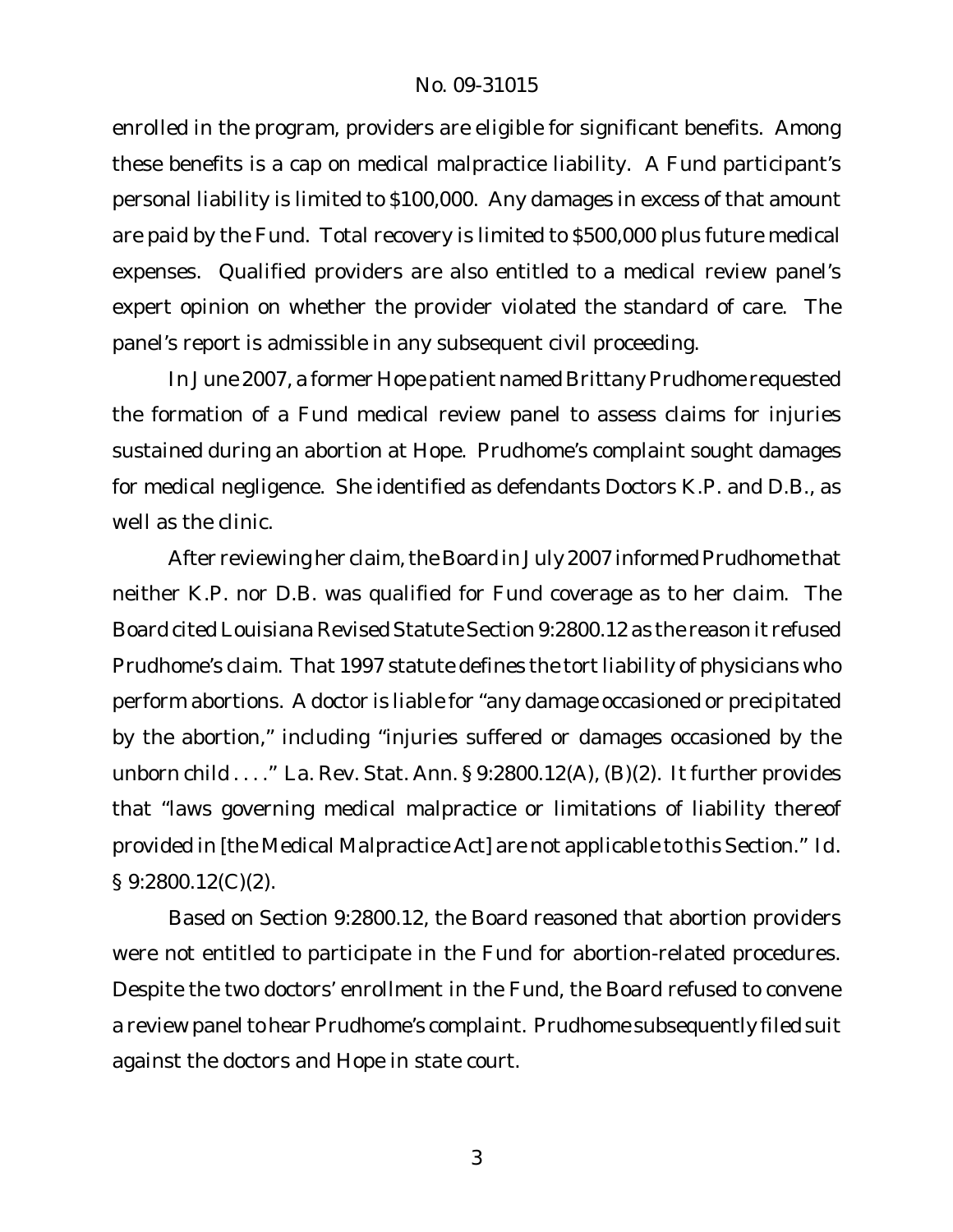enrolled in the program, providers are eligible for significant benefits. Among these benefits is a cap on medical malpractice liability. A Fund participant's personal liability is limited to \$100,000. Any damages in excess of that amount are paid by the Fund. Total recovery is limited to \$500,000 plus future medical expenses. Qualified providers are also entitled to a medical review panel's expert opinion on whether the provider violated the standard of care. The panel's report is admissible in any subsequent civil proceeding.

In June 2007, a former Hope patient named Brittany Prudhome requested the formation of a Fund medical review panel to assess claims for injuries sustained during an abortion at Hope. Prudhome's complaint sought damages for medical negligence. She identified as defendants Doctors K.P. and D.B., as well as the clinic.

After reviewing her claim, the Board in July 2007 informed Prudhome that neither K.P. nor D.B. was qualified for Fund coverage as to her claim. The Board cited Louisiana Revised Statute Section 9:2800.12 as the reason it refused Prudhome's claim. That 1997 statute defines the tort liability of physicians who perform abortions. A doctor is liable for "any damage occasioned or precipitated by the abortion," including "injuries suffered or damages occasioned by the unborn child  $\dots$ ." La. Rev. Stat. Ann. § 9:2800.12(A), (B)(2). It further provides that "laws governing medical malpractice or limitations of liability thereof provided in [the Medical Malpractice Act] are not applicable to this Section." *Id*. § 9:2800.12(C)(2).

Based on Section 9:2800.12, the Board reasoned that abortion providers were not entitled to participate in the Fund for abortion-related procedures. Despite the two doctors' enrollment in the Fund, the Board refused to convene a review panel to hear Prudhome's complaint. Prudhome subsequently filed suit against the doctors and Hope in state court.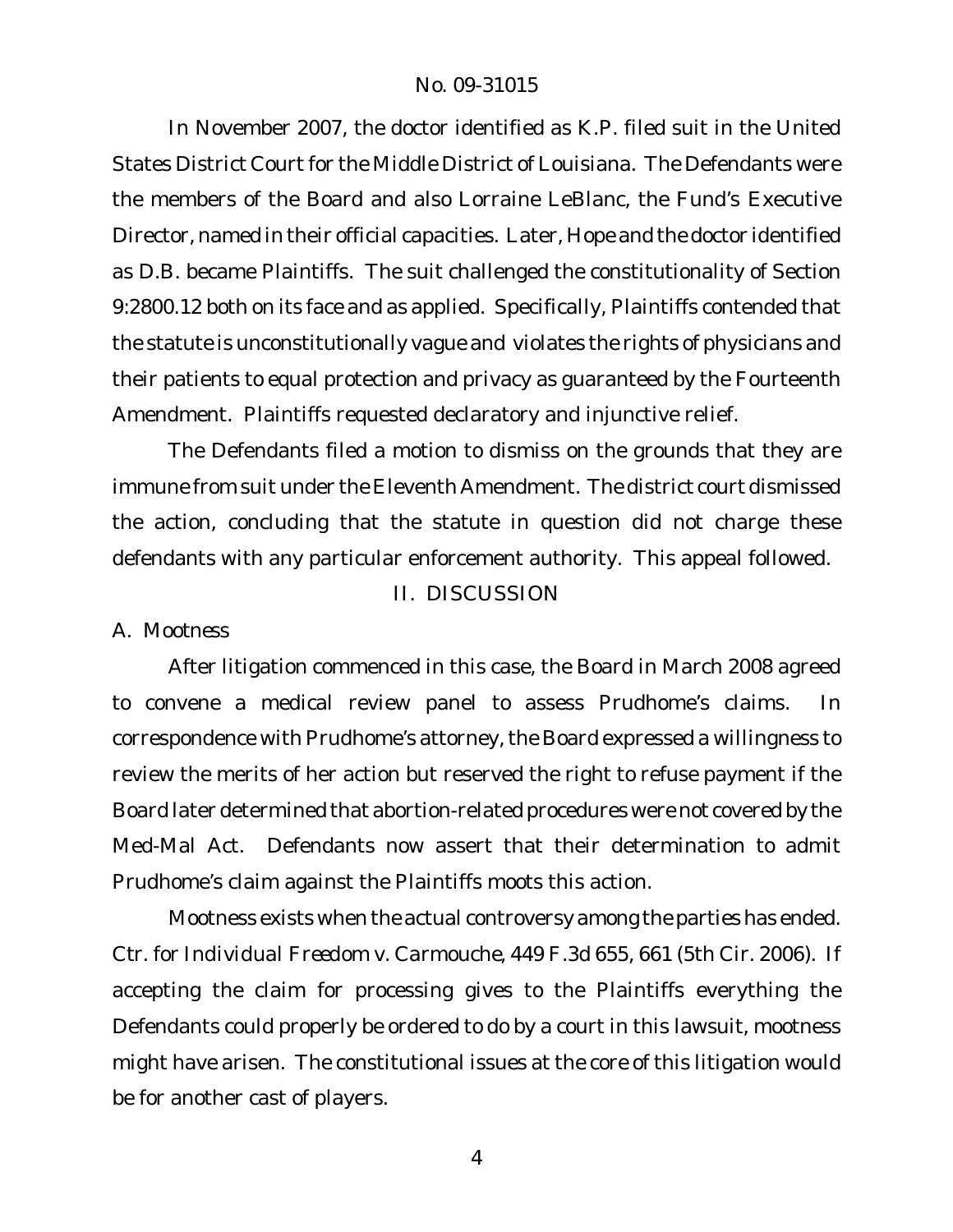In November 2007, the doctor identified as K.P. filed suit in the United States District Court for the Middle District of Louisiana. The Defendants were the members of the Board and also Lorraine LeBlanc, the Fund's Executive Director, named in their official capacities. Later, Hope and the doctor identified as D.B. became Plaintiffs. The suit challenged the constitutionality of Section 9:2800.12 both on its face and as applied. Specifically, Plaintiffs contended that the statute is unconstitutionally vague and violates the rights of physicians and their patients to equal protection and privacy as guaranteed by the Fourteenth Amendment. Plaintiffs requested declaratory and injunctive relief.

The Defendants filed a motion to dismiss on the grounds that they are immune from suit under the Eleventh Amendment. The district court dismissed the action, concluding that the statute in question did not charge these defendants with any particular enforcement authority. This appeal followed.

II. DISCUSSION

# *A. Mootness*

After litigation commenced in this case, the Board in March 2008 agreed to convene a medical review panel to assess Prudhome's claims. In correspondence with Prudhome's attorney, the Board expressed a willingness to review the merits of her action but reserved the right to refuse payment if the Board later determined that abortion-related procedures were not covered by the Med-Mal Act. Defendants now assert that their determination to admit Prudhome's claim against the Plaintiffs moots this action.

Mootness exists when the actual controversy among the parties has ended. *Ctr. for Individual Freedom v. Carmouche*, 449 F.3d 655, 661 (5th Cir. 2006). If accepting the claim for processing gives to the Plaintiffs everything the Defendants could properly be ordered to do by a court in this lawsuit, mootness might have arisen. The constitutional issues at the core of this litigation would be for another cast of players.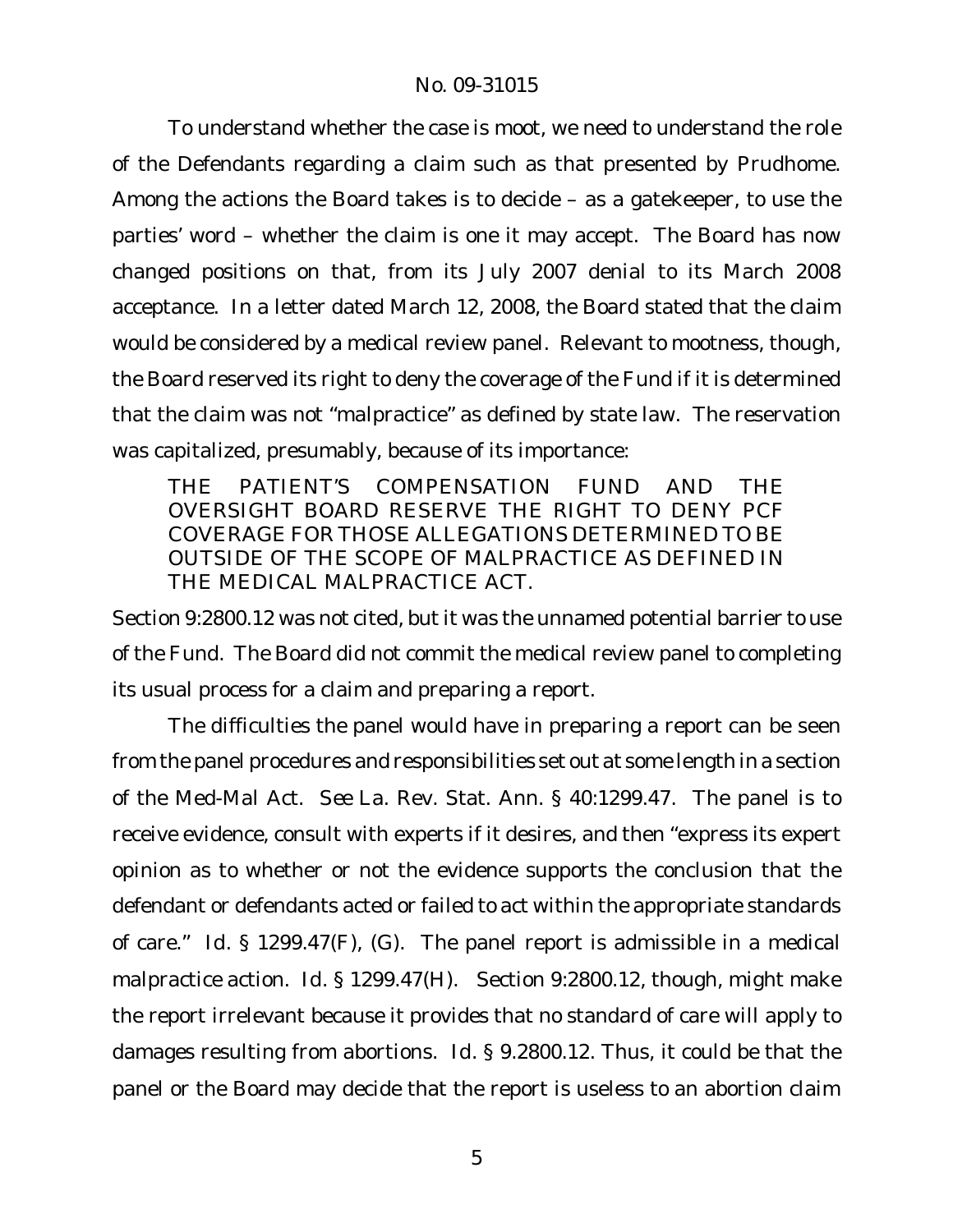To understand whether the case is moot, we need to understand the role of the Defendants regarding a claim such as that presented by Prudhome. Among the actions the Board takes is to decide – as a gatekeeper, to use the parties' word – whether the claim is one it may accept. The Board has now changed positions on that, from its July 2007 denial to its March 2008 acceptance. In a letter dated March 12, 2008, the Board stated that the claim would be considered by a medical review panel. Relevant to mootness, though, the Board reserved its right to deny the coverage of the Fund if it is determined that the claim was not "malpractice" as defined by state law. The reservation was capitalized, presumably, because of its importance:

THE PATIENT'S COMPENSATION FUND AND THE OVERSIGHT BOARD RESERVE THE RIGHT TO DENY PCF COVERAGE FOR THOSE ALLEGATIONS DETERMINED TO BE OUTSIDE OF THE SCOPE OF MALPRACTICE AS DEFINED IN THE MEDICAL MALPRACTICE ACT.

Section 9:2800.12 was not cited, but it was the unnamed potential barrier to use of the Fund. The Board did not commit the medical review panel to completing its usual process for a claim and preparing a report.

The difficulties the panel would have in preparing a report can be seen from the panel procedures and responsibilities set out at some length in a section of the Med-Mal Act. *See* La. Rev. Stat. Ann. § 40:1299.47. The panel is to receive evidence, consult with experts if it desires, and then "express its expert opinion as to whether or not the evidence supports the conclusion that the defendant or defendants acted or failed to act within the appropriate standards of care." *Id.* § 1299.47(F), (G). The panel report is admissible in a medical malpractice action. *Id.* § 1299.47(H). Section 9:2800.12, though, might make the report irrelevant because it provides that no standard of care will apply to damages resulting from abortions. *Id.* § 9.2800.12. Thus, it could be that the panel or the Board may decide that the report is useless to an abortion claim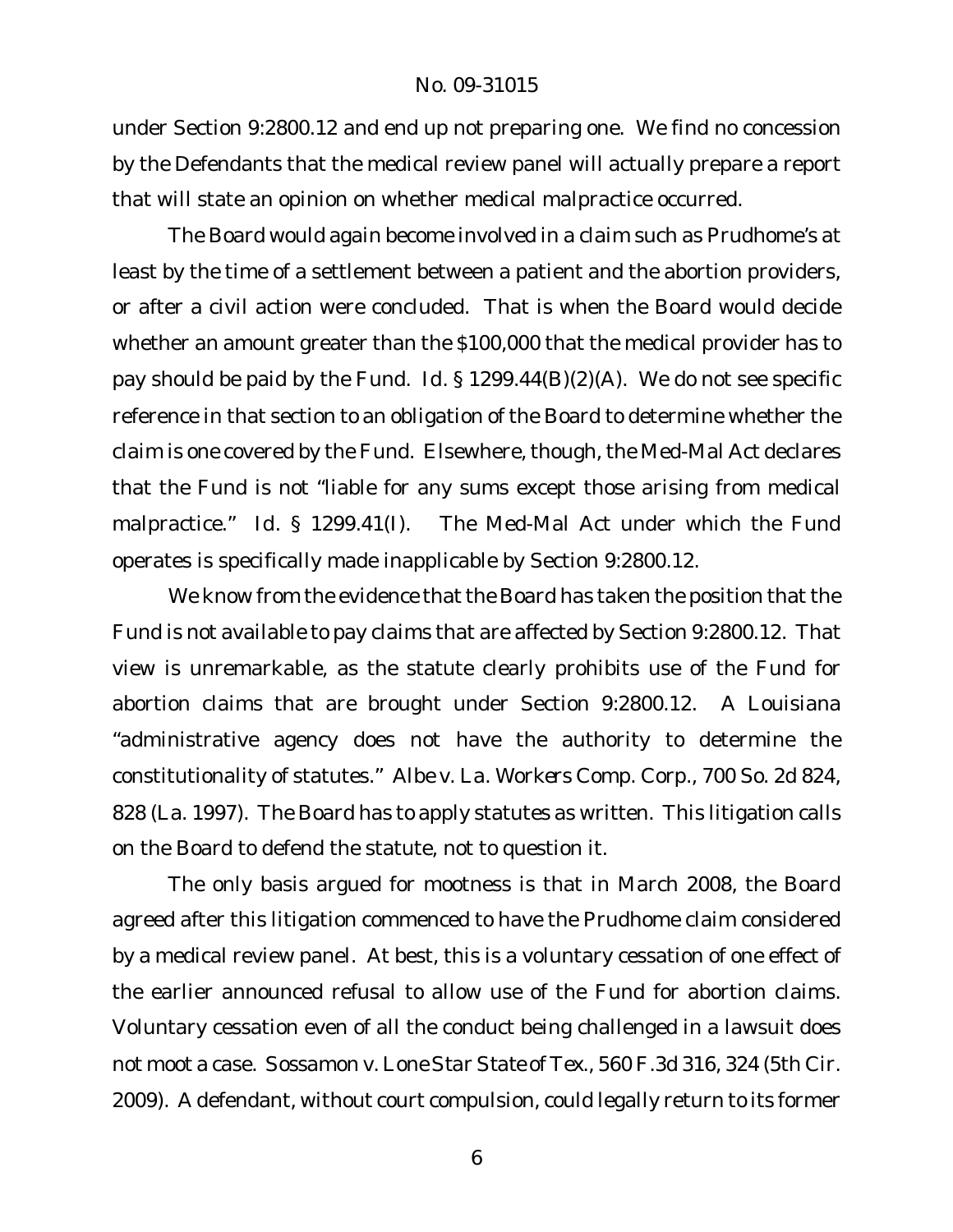under Section 9:2800.12 and end up not preparing one. We find no concession by the Defendants that the medical review panel will actually prepare a report that will state an opinion on whether medical malpractice occurred.

The Board would again become involved in a claim such as Prudhome's at least by the time of a settlement between a patient and the abortion providers, or after a civil action were concluded. That is when the Board would decide whether an amount greater than the \$100,000 that the medical provider has to pay should be paid by the Fund. *Id.* § 1299.44(B)(2)(A). We do not see specific reference in that section to an obligation of the Board to determine whether the claim is one covered by the Fund. Elsewhere, though, the Med-Mal Act declares that the Fund is not "liable for any sums except those arising from medical malpractice." *Id*. § 1299.41(I). The Med-Mal Act under which the Fund operates is specifically made inapplicable by Section 9:2800.12.

We know from the evidence that the Board has taken the position that the Fund is not available to pay claims that are affected by Section 9:2800.12. That view is unremarkable, as the statute clearly prohibits use of the Fund for abortion claims that are brought under Section 9:2800.12. A Louisiana "administrative agency does not have the authority to determine the constitutionality of statutes." *Albe v. La. Workers Comp. Corp.*, 700 So. 2d 824, 828 (La. 1997). The Board has to apply statutes as written. This litigation calls on the Board to defend the statute, not to question it.

The only basis argued for mootness is that in March 2008, the Board agreed after this litigation commenced to have the Prudhome claim considered by a medical review panel. At best, this is a voluntary cessation of one effect of the earlier announced refusal to allow use of the Fund for abortion claims. Voluntary cessation even of all the conduct being challenged in a lawsuit does not moot a case. *Sossamon v. Lone Star State of Tex*., 560 F.3d 316, 324 (5th Cir. 2009). A defendant, without court compulsion, could legally return to its former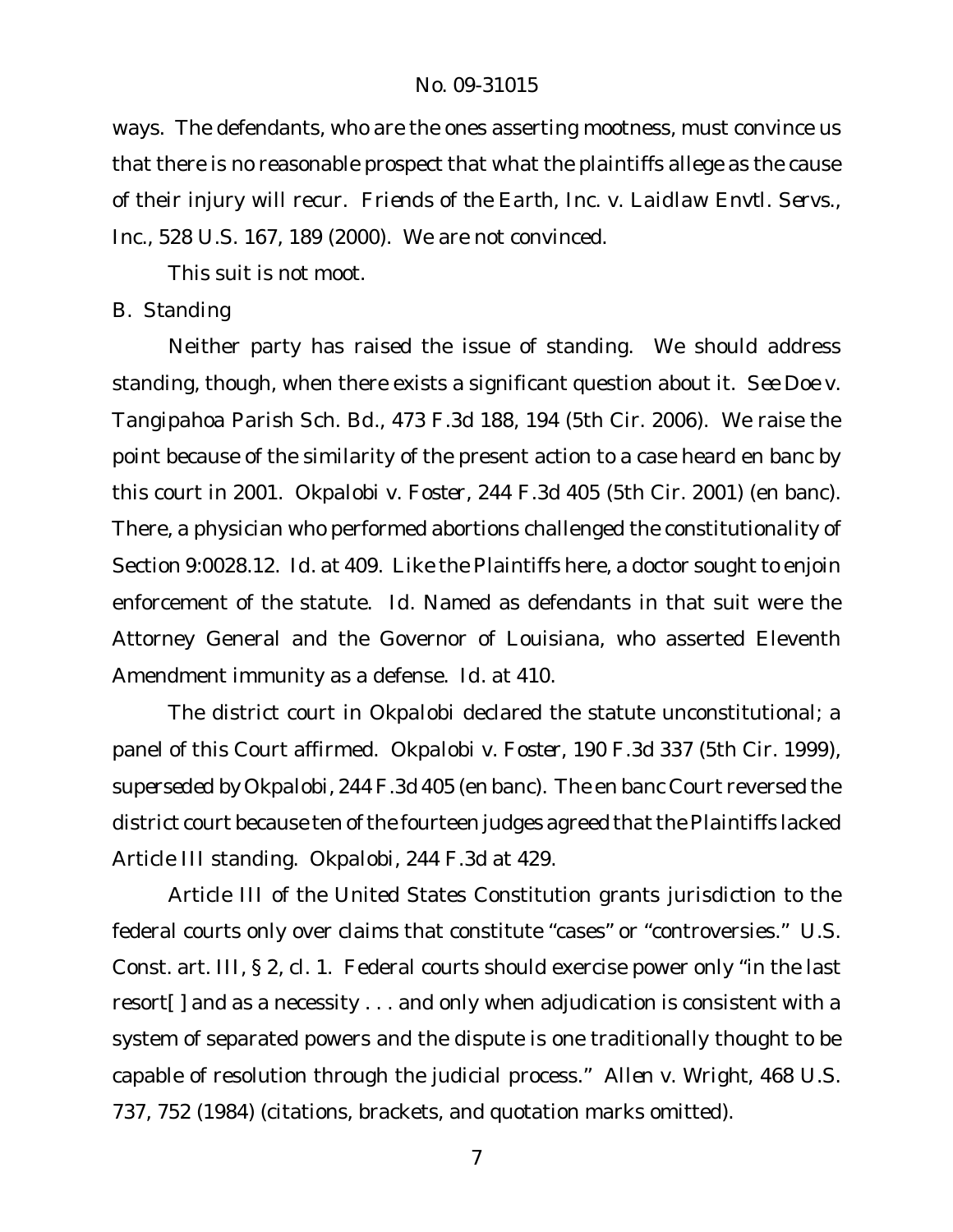ways. The defendants, who are the ones asserting mootness, must convince us that there is no reasonable prospect that what the plaintiffs allege as the cause of their injury will recur. *Friends of the Earth, Inc. v. Laidlaw Envtl. Servs., Inc.*, 528 U.S. 167, 189 (2000). We are not convinced.

This suit is not moot.

# *B. Standing*

Neither party has raised the issue of standing. We should address standing, though, when there exists a significant question about it. *See Doe v. Tangipahoa Parish Sch. Bd.*, 473 F.3d 188, 194 (5th Cir. 2006). We raise the point because of the similarity of the present action to a case heard en banc by this court in 2001. *Okpalobi v. Foster*, 244 F.3d 405 (5th Cir. 2001) (en banc). There, a physician who performed abortions challenged the constitutionality of Section 9:0028.12. *Id.* at 409. Like the Plaintiffs here, a doctor sought to enjoin enforcement of the statute. *Id.* Named as defendants in that suit were the Attorney General and the Governor of Louisiana, who asserted Eleventh Amendment immunity as a defense. *Id.* at 410.

The district court in *Okpalobi* declared the statute unconstitutional; a panel of this Court affirmed. *Okpalobi v. Foster*, 190 F.3d 337 (5th Cir. 1999), *superseded by Okpalobi*, 244 F.3d 405 (en banc). The en banc Court reversed the district court because ten of the fourteen judges agreed that the Plaintiffs lacked Article III standing. *Okpalobi*, 244 F.3d at 429.

Article III of the United States Constitution grants jurisdiction to the federal courts only over claims that constitute "cases" or "controversies." U.S. Const. art. III, § 2, cl. 1. Federal courts should exercise power only "in the last resort[ ] and as a necessity . . . and only when adjudication is consistent with a system of separated powers and the dispute is one traditionally thought to be capable of resolution through the judicial process." *Allen v. Wright*, 468 U.S. 737, 752 (1984) (citations, brackets, and quotation marks omitted).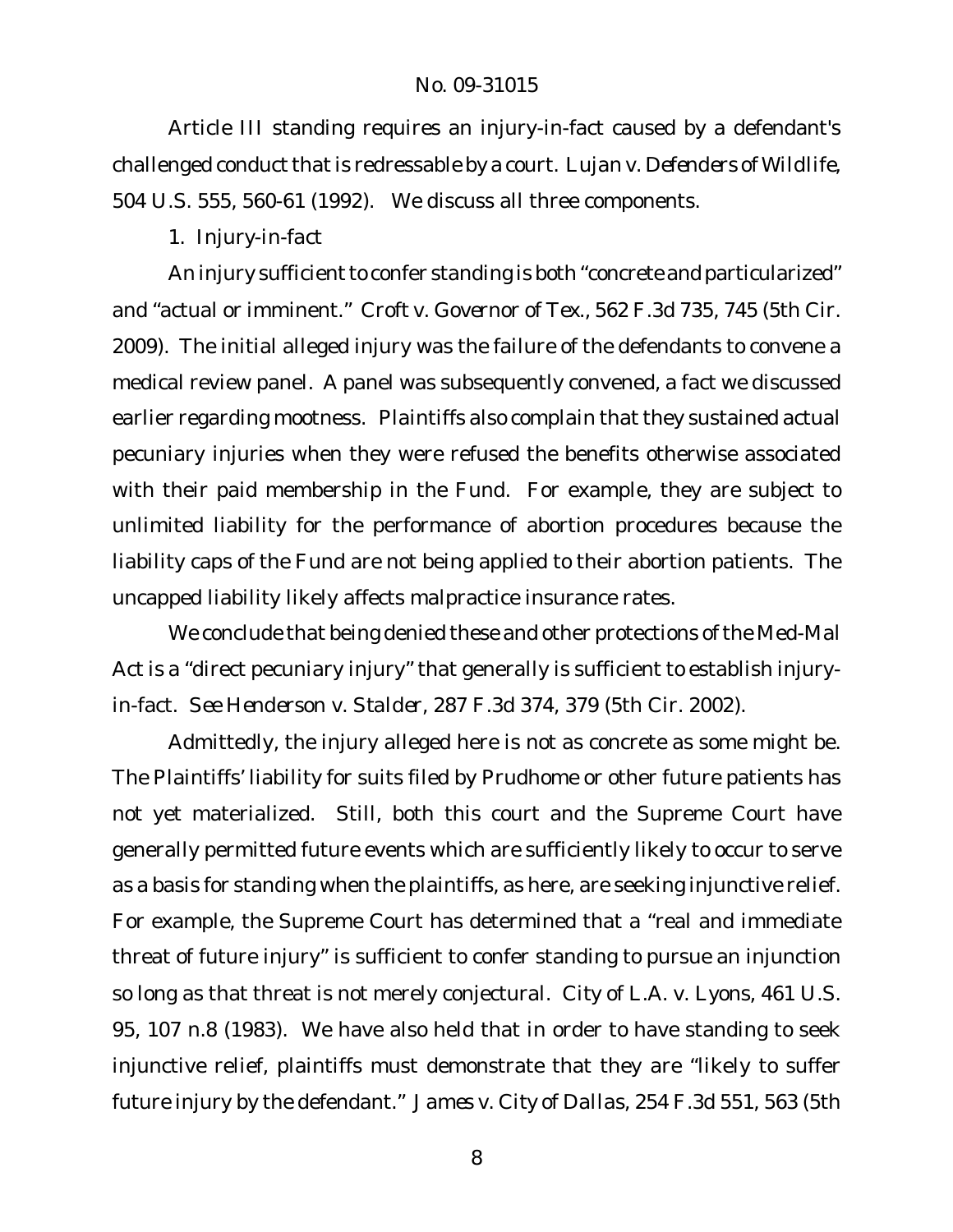Article III standing requires an injury-in-fact caused by a defendant's challenged conduct that is redressable by a court. Lujan v. Defenders of Wildlife, 504 U.S. 555, 560-61 (1992). We discuss all three components.

*1. Injury-in-fact*

An injury sufficient to confer standing is both "concrete and particularized" and "actual or imminent." *Croft v. Governor of Tex*., 562 F.3d 735, 745 (5th Cir. 2009). The initial alleged injury was the failure of the defendants to convene a medical review panel. A panel was subsequently convened, a fact we discussed earlier regarding mootness. Plaintiffs also complain that they sustained actual pecuniary injuries when they were refused the benefits otherwise associated with their paid membership in the Fund. For example, they are subject to unlimited liability for the performance of abortion procedures because the liability caps of the Fund are not being applied to their abortion patients. The uncapped liability likely affects malpractice insurance rates.

We conclude that being denied these and other protections of the Med-Mal Act is a "direct pecuniary injury" that generally is sufficient to establish injuryin-fact. *See Henderson v. Stalder*, 287 F.3d 374, 379 (5th Cir. 2002).

Admittedly, the injury alleged here is not as concrete as some might be. The Plaintiffs' liability for suits filed by Prudhome or other future patients has not yet materialized. Still, both this court and the Supreme Court have generally permitted future events which are sufficiently likely to occur to serve as a basis for standing when the plaintiffs, as here, are seeking injunctive relief. For example, the Supreme Court has determined that a "real and immediate threat of future injury" is sufficient to confer standing to pursue an injunction so long as that threat is not merely conjectural. *City of L.A. v. Lyons*, 461 U.S. 95, 107 n.8 (1983). We have also held that in order to have standing to seek injunctive relief, plaintiffs must demonstrate that they are "likely to suffer future injury by the defendant." *James v. City of Dallas*, 254 F.3d 551, 563 (5th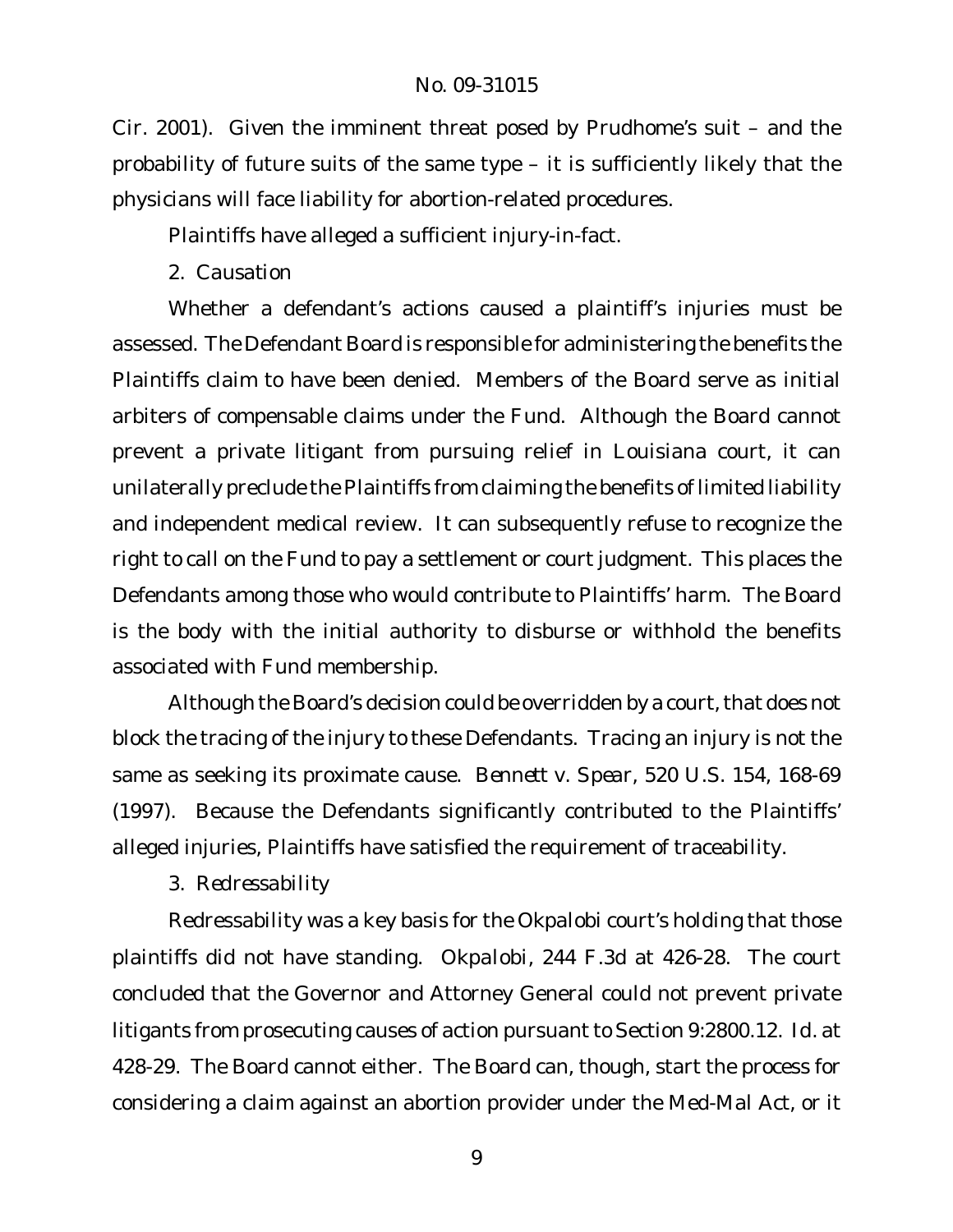Cir. 2001). Given the imminent threat posed by Prudhome's suit – and the probability of future suits of the same type – it is sufficiently likely that the physicians will face liability for abortion-related procedures.

Plaintiffs have alleged a sufficient injury-in-fact.

*2. Causation*

Whether a defendant's actions caused a plaintiff's injuries must be assessed. The Defendant Board is responsible for administering the benefits the Plaintiffs claim to have been denied. Members of the Board serve as initial arbiters of compensable claims under the Fund. Although the Board cannot prevent a private litigant from pursuing relief in Louisiana court, it can unilaterally preclude the Plaintiffs from claiming the benefits of limited liability and independent medical review. It can subsequently refuse to recognize the right to call on the Fund to pay a settlement or court judgment. This places the Defendants among those who would contribute to Plaintiffs' harm. The Board is the body with the initial authority to disburse or withhold the benefits associated with Fund membership.

Although the Board's decision could be overridden by a court, that does not block the tracing of the injury to these Defendants. Tracing an injury is not the same as seeking its proximate cause. *Bennett v. Spear*, 520 U.S. 154, 168-69 (1997). Because the Defendants significantly contributed to the Plaintiffs' alleged injuries, Plaintiffs have satisfied the requirement of traceability.

*3. Redressability*

Redressability was a key basis for the *Okpalobi* court's holding that those plaintiffs did not have standing. *Okpalobi*, 244 F.3d at 426-28. The court concluded that the Governor and Attorney General could not prevent private litigants from prosecuting causes of action pursuant to Section 9:2800.12. *Id*. at 428-29. The Board cannot either. The Board can, though, start the process for considering a claim against an abortion provider under the Med-Mal Act, or it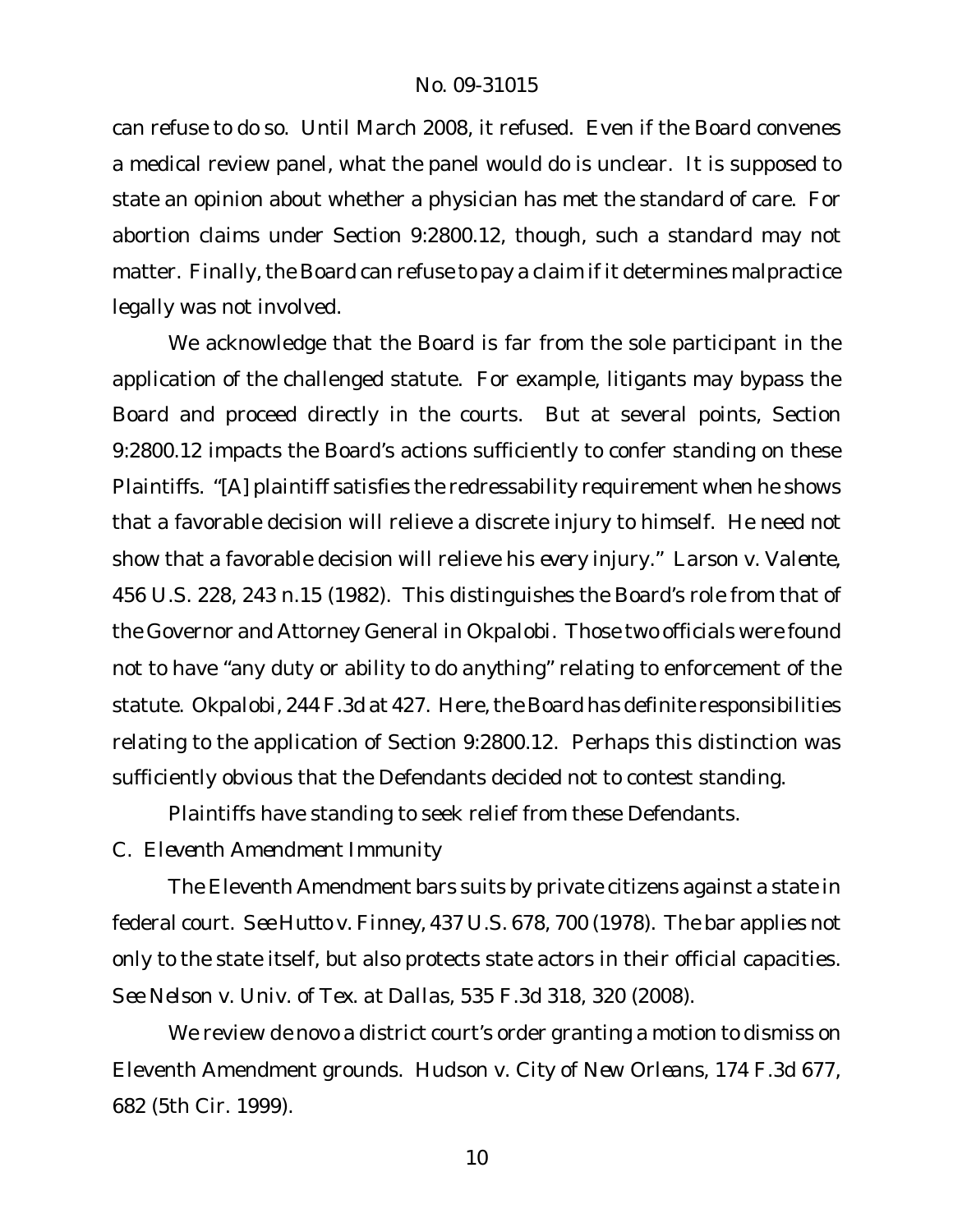can refuse to do so. Until March 2008, it refused. Even if the Board convenes a medical review panel, what the panel would do is unclear. It is supposed to state an opinion about whether a physician has met the standard of care. For abortion claims under Section 9:2800.12, though, such a standard may not matter. Finally, the Board can refuse to pay a claim if it determines malpractice legally was not involved.

We acknowledge that the Board is far from the sole participant in the application of the challenged statute. For example, litigants may bypass the Board and proceed directly in the courts. But at several points, Section 9:2800.12 impacts the Board's actions sufficiently to confer standing on these Plaintiffs. "[A] plaintiff satisfies the redressability requirement when he shows that a favorable decision will relieve a discrete injury to himself. He need not show that a favorable decision will relieve his *every* injury." *Larson v. Valente*, 456 U.S. 228, 243 n.15 (1982). This distinguishes the Board's role from that of the Governor and Attorney General in *Okpalobi*. Those two officials were found not to have "any duty or ability to do *anything*" relating to enforcement of the statute. *Okpalobi*, 244 F.3d at 427. Here, the Board has definite responsibilities relating to the application of Section 9:2800.12. Perhaps this distinction was sufficiently obvious that the Defendants decided not to contest standing.

Plaintiffs have standing to seek relief from these Defendants.

*C. Eleventh Amendment Immunity*

The Eleventh Amendment bars suits by private citizens against a state in federal court. *See Hutto v. Finney*, 437 U.S. 678, 700 (1978). The bar applies not only to the state itself, but also protects state actors in their official capacities. *See Nelson v. Univ. of Tex. at Dallas*, 535 F.3d 318, 320 (2008).

We review *de novo* a district court's order granting a motion to dismiss on Eleventh Amendment grounds. *Hudson v. City of New Orleans*, 174 F.3d 677, 682 (5th Cir. 1999).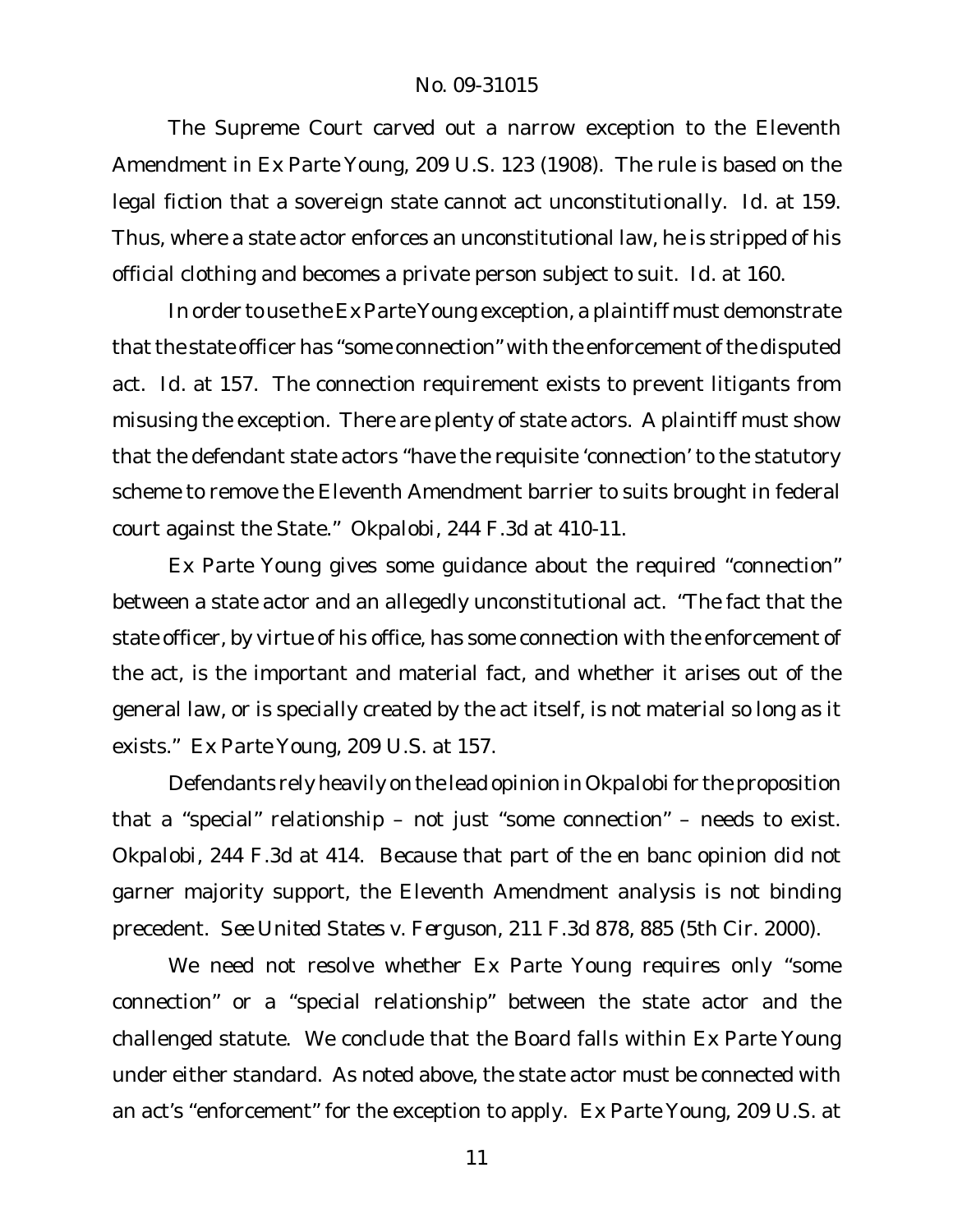The Supreme Court carved out a narrow exception to the Eleventh Amendment in *Ex Parte Young*, 209 U.S. 123 (1908). The rule is based on the legal fiction that a sovereign state cannot act unconstitutionally. *Id*. at 159. Thus, where a state actor enforces an unconstitutional law, he is stripped of his official clothing and becomes a private person subject to suit. *Id*. at 160.

In order to use the *Ex Parte Young* exception, a plaintiff must demonstrate that the state officer has "some connection" with the enforcement of the disputed act. *Id*. at 157. The connection requirement exists to prevent litigants from misusing the exception. There are plenty of state actors. A plaintiff must show that the defendant state actors "have the requisite 'connection' to the statutory scheme to remove the Eleventh Amendment barrier to suits brought in federal court against the State." *Okpalobi*, 244 F.3d at 410-11.

*Ex Parte Young* gives some guidance about the required "connection" between a state actor and an allegedly unconstitutional act. "The fact that the state officer, by virtue of his office, has some connection with the enforcement of the act, is the important and material fact, and whether it arises out of the general law, or is specially created by the act itself, is not material so long as it exists." *Ex Parte Young*, 209 U.S. at 157.

Defendants rely heavily on the lead opinion in *Okpalobi* for the proposition that a "special" relationship – not just "some connection" – needs to exist. *Okpalobi*, 244 F.3d at 414. Because that part of the en banc opinion did not garner majority support, the Eleventh Amendment analysis is not binding precedent. *See United States v. Ferguson*, 211 F.3d 878, 885 (5th Cir. 2000).

We need not resolve whether *Ex Parte Young* requires only "some connection" or a "special relationship" between the state actor and the challenged statute. We conclude that the Board falls within *Ex Parte Young* under either standard. As noted above, the state actor must be connected with an act's "enforcement" for the exception to apply. *Ex Parte Young*, 209 U.S. at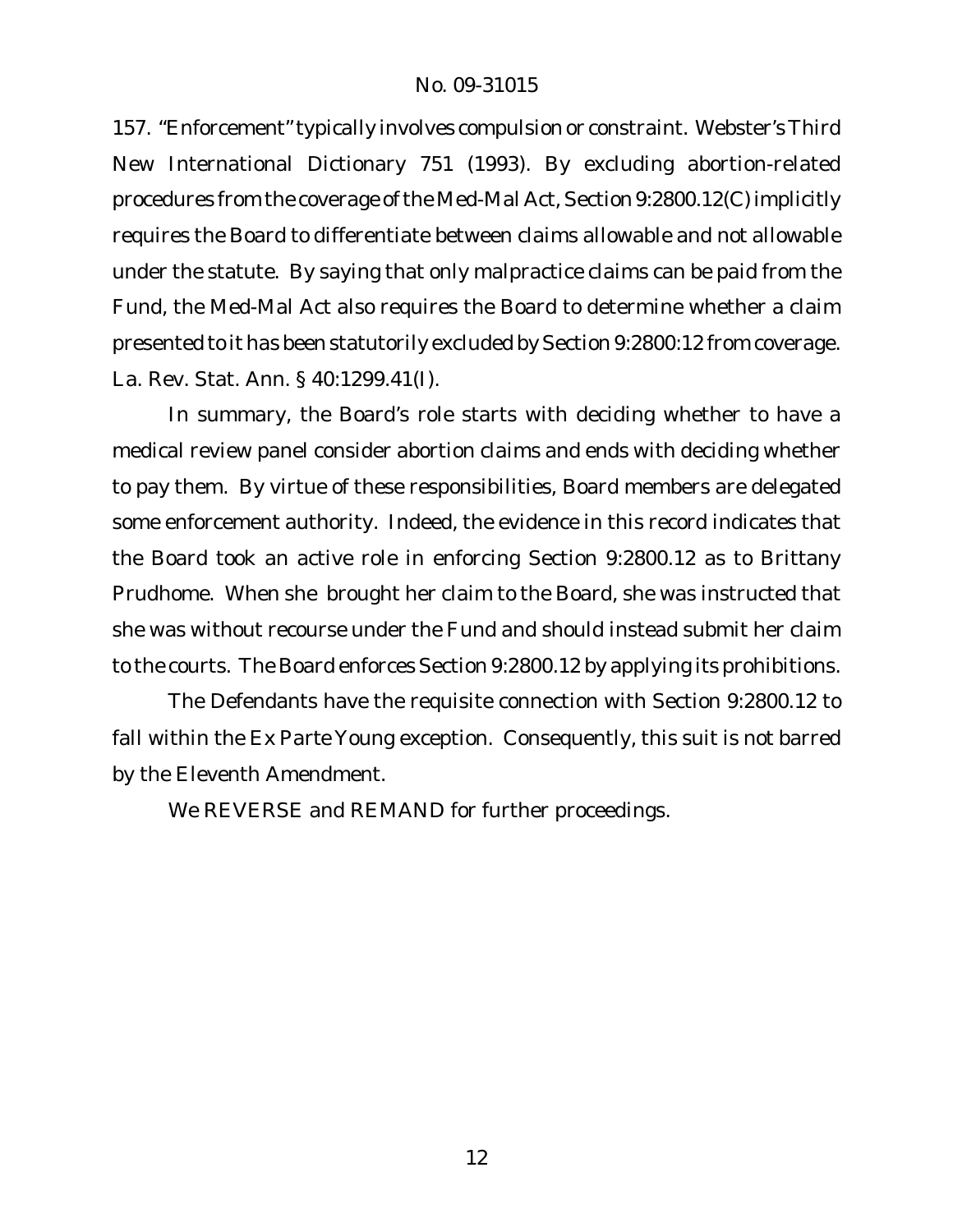157. "Enforcement" typically involves compulsion or constraint. Webster's Third New International Dictionary 751 (1993). By excluding abortion-related procedures from the coverage of the Med-Mal Act, Section 9:2800.12(C) implicitly requires the Board to differentiate between claims allowable and not allowable under the statute. By saying that only malpractice claims can be paid from the Fund, the Med-Mal Act also requires the Board to determine whether a claim presented to it has been statutorily excluded by Section 9:2800:12 from coverage. La. Rev. Stat. Ann. § 40:1299.41(I).

In summary, the Board's role starts with deciding whether to have a medical review panel consider abortion claims and ends with deciding whether to pay them. By virtue of these responsibilities, Board members are delegated some enforcement authority. Indeed, the evidence in this record indicates that the Board took an active role in enforcing Section 9:2800.12 as to Brittany Prudhome. When she brought her claim to the Board, she was instructed that she was without recourse under the Fund and should instead submit her claim to the courts. The Board enforces Section 9:2800.12 by applying its prohibitions.

The Defendants have the requisite connection with Section 9:2800.12 to fall within the *Ex Parte Young* exception. Consequently, this suit is not barred by the Eleventh Amendment.

We REVERSE and REMAND for further proceedings.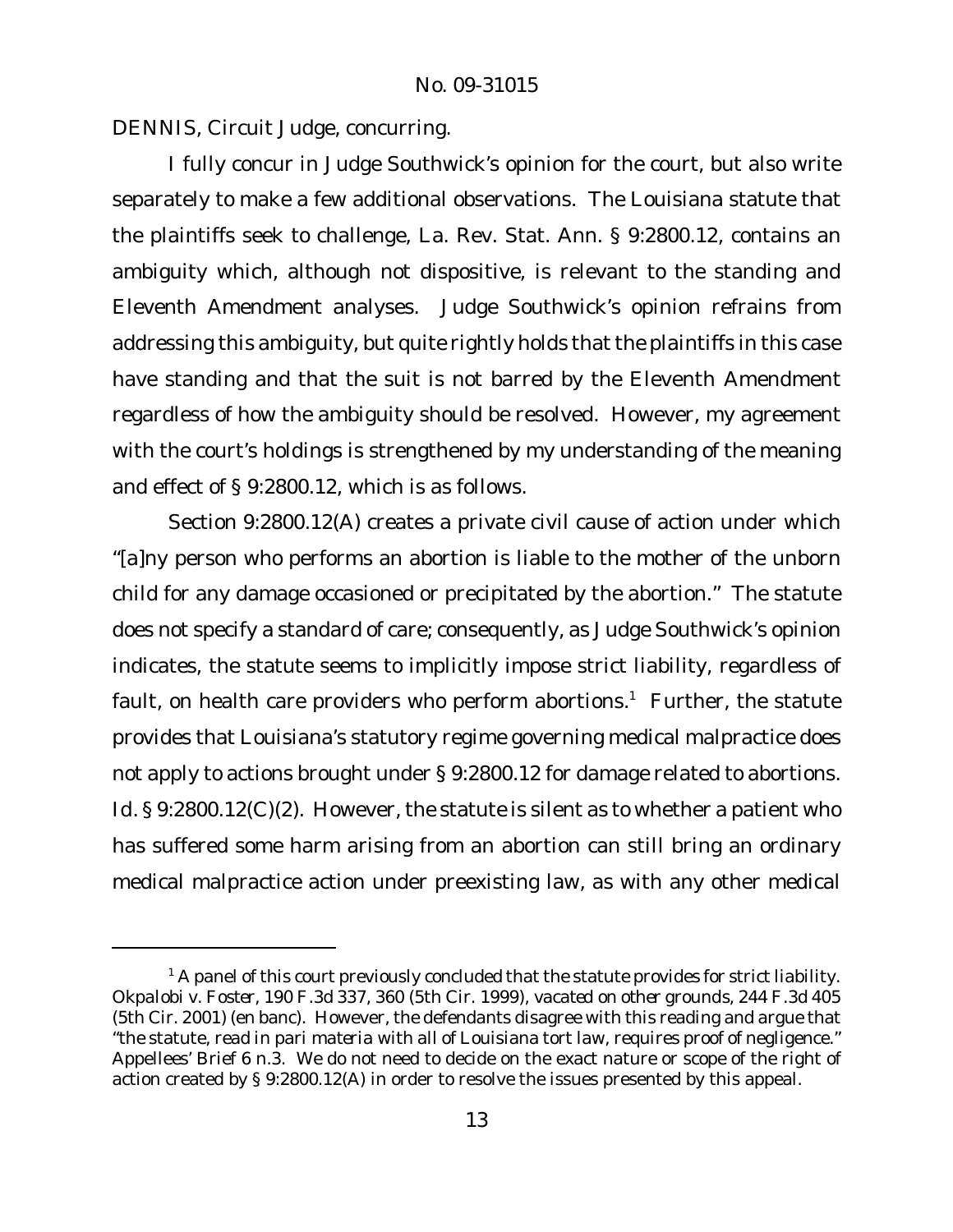DENNIS, Circuit Judge, concurring.

I fully concur in Judge Southwick's opinion for the court, but also write separately to make a few additional observations. The Louisiana statute that the plaintiffs seek to challenge, La. Rev. Stat. Ann. § 9:2800.12, contains an ambiguity which, although not dispositive, is relevant to the standing and Eleventh Amendment analyses. Judge Southwick's opinion refrains from addressing this ambiguity, but quite rightly holds that the plaintiffs in this case have standing and that the suit is not barred by the Eleventh Amendment regardless of how the ambiguity should be resolved. However, my agreement with the court's holdings is strengthened by my understanding of the meaning and effect of § 9:2800.12, which is as follows.

Section 9:2800.12(A) creates a private civil cause of action under which "[a]ny person who performs an abortion is liable to the mother of the unborn child for any damage occasioned or precipitated by the abortion." The statute does not specify a standard of care; consequently, as Judge Southwick's opinion indicates, the statute seems to implicitly impose strict liability, regardless of fault, on health care providers who perform abortions.<sup>1</sup> Further, the statute provides that Louisiana's statutory regime governing medical malpractice does not apply to actions brought under § 9:2800.12 for damage related to abortions. *Id.* § 9:2800.12(C)(2). However, the statute is silent as to whether a patient who has suffered some harm arising from an abortion can still bring an ordinary medical malpractice action under preexisting law, as with any other medical

 $1$  A panel of this court previously concluded that the statute provides for strict liability. *Okpalobi v. Foster*, 190 F.3d 337, 360 (5th Cir. 1999), *vacated on other grounds*, 244 F.3d 405 (5th Cir. 2001) (en banc). However, the defendants disagree with this reading and argue that "the statute, read *in pari materia* with all of Louisiana tort law, requires proof of negligence." Appellees' Brief 6 n.3. We do not need to decide on the exact nature or scope of the right of action created by § 9:2800.12(A) in order to resolve the issues presented by this appeal.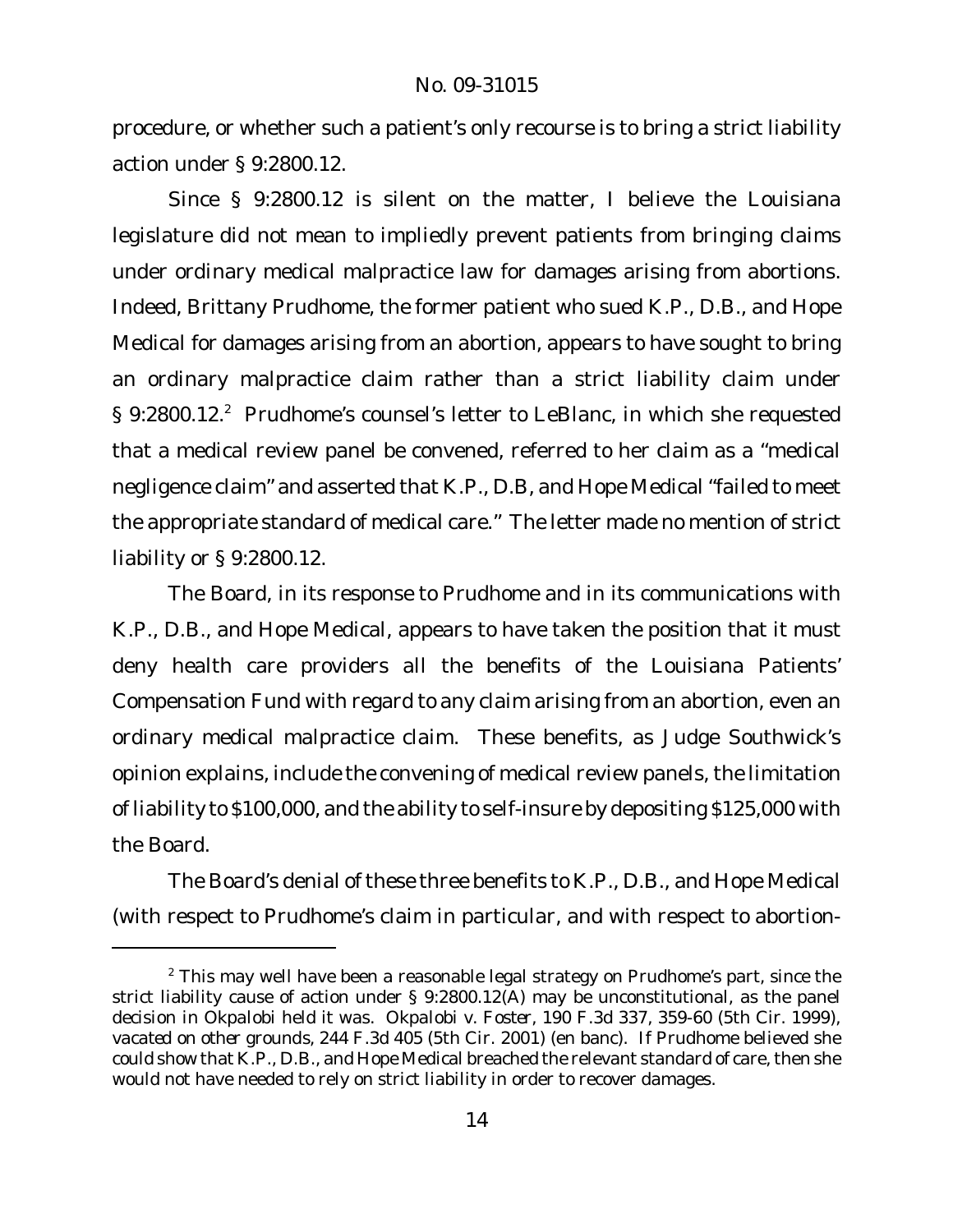procedure, or whether such a patient's only recourse is to bring a strict liability action under § 9:2800.12.

Since § 9:2800.12 is silent on the matter, I believe the Louisiana legislature did not mean to impliedly prevent patients from bringing claims under ordinary medical malpractice law for damages arising from abortions. Indeed, Brittany Prudhome, the former patient who sued K.P., D.B., and Hope Medical for damages arising from an abortion, appears to have sought to bring an ordinary malpractice claim rather than a strict liability claim under § 9:2800.12.<sup>2</sup> Prudhome's counsel's letter to LeBlanc, in which she requested that a medical review panel be convened, referred to her claim as a "medical negligence claim" and asserted that K.P., D.B, and Hope Medical "failed to meet the appropriate standard of medical care." The letter made no mention of strict liability or § 9:2800.12.

The Board, in its response to Prudhome and in its communications with K.P., D.B., and Hope Medical, appears to have taken the position that it must deny health care providers all the benefits of the Louisiana Patients' Compensation Fund with regard to any claim arising from an abortion, even an ordinary medical malpractice claim. These benefits, as Judge Southwick's opinion explains, include the convening of medical review panels, the limitation of liability to \$100,000, and the ability to self-insure by depositing \$125,000 with the Board.

The Board's denial of these three benefits to K.P., D.B., and Hope Medical (with respect to Prudhome's claim in particular, and with respect to abortion-

 $2$  This may well have been a reasonable legal strategy on Prudhome's part, since the strict liability cause of action under § 9:2800.12(A) may be unconstitutional, as the panel decision in *Okpalobi* held it was. *Okpalobi v. Foster*, 190 F.3d 337, 359-60 (5th Cir. 1999), *vacated on other grounds*, 244 F.3d 405 (5th Cir. 2001) (en banc). If Prudhome believed she could show that K.P., D.B., and Hope Medical breached the relevant standard of care, then she would not have needed to rely on strict liability in order to recover damages.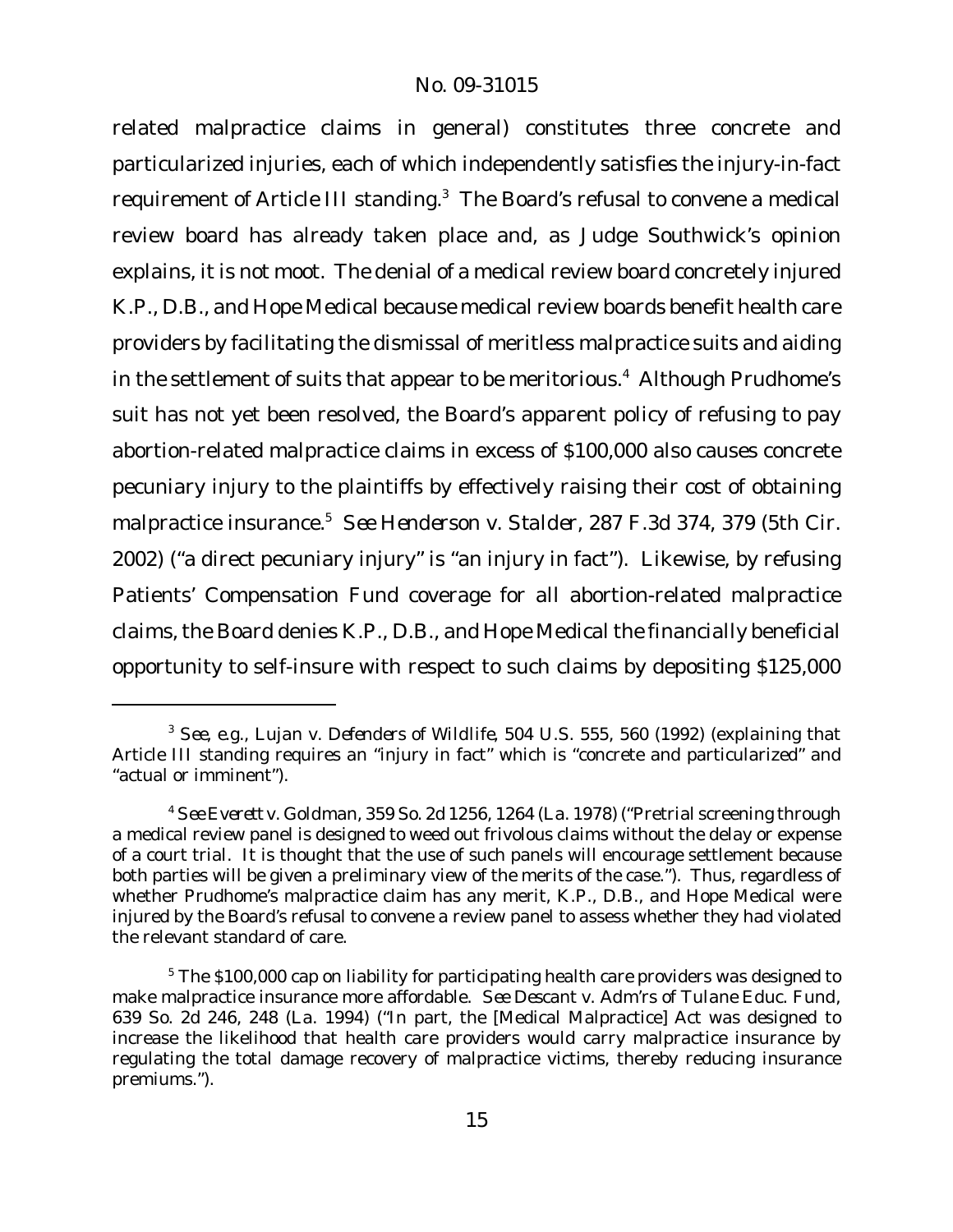related malpractice claims in general) constitutes three concrete and particularized injuries, each of which independently satisfies the injury-in-fact requirement of Article III standing.<sup>3</sup> The Board's refusal to convene a medical review board has already taken place and, as Judge Southwick's opinion explains, it is not moot. The denial of a medical review board concretely injured K.P., D.B., and Hope Medical because medical review boards benefit health care providers by facilitating the dismissal of meritless malpractice suits and aiding in the settlement of suits that appear to be meritorious.<sup>4</sup> Although Prudhome's suit has not yet been resolved, the Board's apparent policy of refusing to pay abortion-related malpractice claims in excess of \$100,000 also causes concrete pecuniary injury to the plaintiffs by effectively raising their cost of obtaining malpractice insurance.<sup>5</sup> *See Henderson v. Stalder*, 287 F.3d 374, 379 (5th Cir. 2002) ("a direct pecuniary injury" is "an injury in fact"). Likewise, by refusing Patients' Compensation Fund coverage for all abortion-related malpractice claims, the Board denies K.P., D.B., and Hope Medical the financially beneficial opportunity to self-insure with respect to such claims by depositing \$125,000

<sup>3</sup> *See, e.g.*, *Lujan v. Defenders of Wildlife*, 504 U.S. 555, 560 (1992) (explaining that Article III standing requires an "injury in fact" which is "concrete and particularized" and "actual or imminent").

<sup>4</sup> *See Everett v. Goldman*, 359 So. 2d 1256, 1264 (La. 1978) ("Pretrial screening through a medical review panel is designed to weed out frivolous claims without the delay or expense of a court trial. It is thought that the use of such panels will encourage settlement because both parties will be given a preliminary view of the merits of the case."). Thus, regardless of whether Prudhome's malpractice claim has any merit, K.P., D.B., and Hope Medical were injured by the Board's refusal to convene a review panel to assess whether they had violated the relevant standard of care.

<sup>&</sup>lt;sup>5</sup> The \$100,000 cap on liability for participating health care providers was designed to make malpractice insurance more affordable. *See Descant v. Adm'rs of Tulane Educ. Fund*, 639 So. 2d 246, 248 (La. 1994) ("In part, the [Medical Malpractice] Act was designed to increase the likelihood that health care providers would carry malpractice insurance by regulating the total damage recovery of malpractice victims, thereby reducing insurance premiums.").